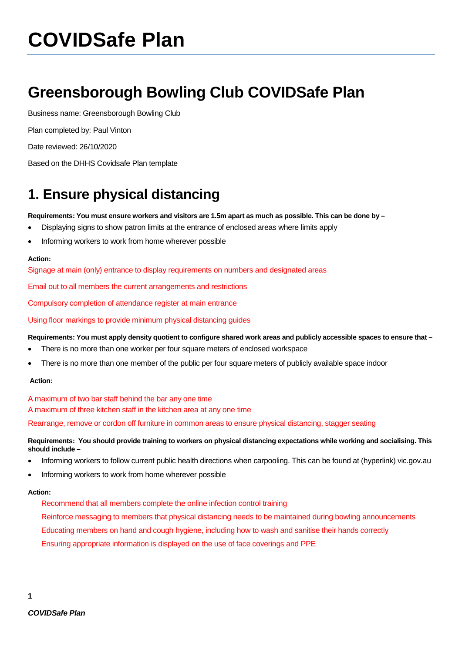# **COVIDSafe Plan**

## **Greensborough Bowling Club COVIDSafe Plan**

Business name: Greensborough Bowling Club

Plan completed by: Paul Vinton

Date reviewed: 26/10/2020

Based on the DHHS Covidsafe Plan template

### **1. Ensure physical distancing**

**Requirements: You must ensure workers and visitors are 1.5m apart as much as possible. This can be done by –**

- Displaying signs to show patron limits at the entrance of enclosed areas where limits apply
- Informing workers to work from home wherever possible

#### **Action:**

Signage at main (only) entrance to display requirements on numbers and designated areas

Email out to all members the current arrangements and restrictions

Compulsory completion of attendance register at main entrance

Using floor markings to provide minimum physical distancing guides

#### **Requirements: You must apply density quotient to configure shared work areas and publicly accessible spaces to ensure that –**

- There is no more than one worker per four square meters of enclosed workspace
- There is no more than one member of the public per four square meters of publicly available space indoor

#### **Action:**

A maximum of two bar staff behind the bar any one time A maximum of three kitchen staff in the kitchen area at any one time Rearrange, remove or cordon off furniture in common areas to ensure physical distancing, stagger seating

#### **Requirements: You should provide training to workers on physical distancing expectations while working and socialising. This should include –**

- Informing workers to follow current public health directions when carpooling. This can be found at (hyperlink) vic.gov.au
- Informing workers to work from home wherever possible

#### **Action:**

Recommend that all members complete the online infection control training

Reinforce messaging to members that physical distancing needs to be maintained during bowling announcements Educating members on hand and cough hygiene, including how to wash and sanitise their hands correctly Ensuring appropriate information is displayed on the use of face coverings and PPE

**1**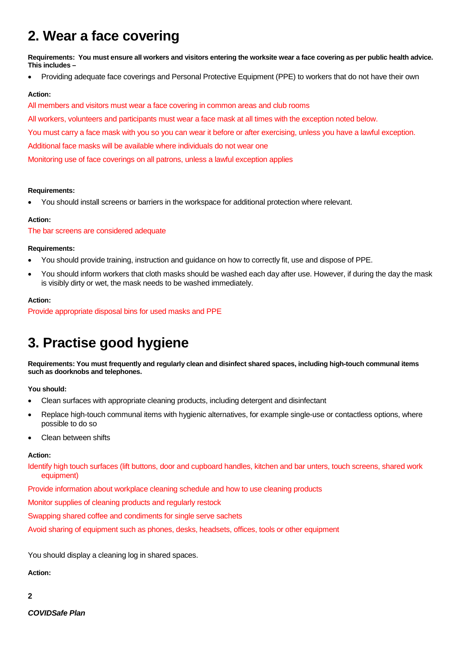### **2. Wear a face covering**

**Requirements: You must ensure all workers and visitors entering the worksite wear a face covering as per public health advice. This includes –**

• Providing adequate face coverings and Personal Protective Equipment (PPE) to workers that do not have their own

#### **Action:**

All members and visitors must wear a face covering in common areas and club rooms

All workers, volunteers and participants must wear a face mask at all times with the exception noted below.

You must carry a face mask with you so you can wear it before or after exercising, unless you have a lawful exception.

Additional face masks will be available where individuals do not wear one

Monitoring use of face coverings on all patrons, unless a lawful exception applies

#### **Requirements:**

• You should install screens or barriers in the workspace for additional protection where relevant.

#### **Action:**

The bar screens are considered adequate

#### **Requirements:**

- You should provide training, instruction and guidance on how to correctly fit, use and dispose of PPE.
- You should inform workers that cloth masks should be washed each day after use. However, if during the day the mask is visibly dirty or wet, the mask needs to be washed immediately.

#### **Action:**

Provide appropriate disposal bins for used masks and PPE

### **3. Practise good hygiene**

**Requirements: You must frequently and regularly clean and disinfect shared spaces, including high-touch communal items such as doorknobs and telephones.** 

**You should:**

- Clean surfaces with appropriate cleaning products, including detergent and disinfectant
- Replace high-touch communal items with hygienic alternatives, for example single-use or contactless options, where possible to do so
- Clean between shifts

#### **Action:**

Identify high touch surfaces (lift buttons, door and cupboard handles, kitchen and bar unters, touch screens, shared work equipment)

Provide information about workplace cleaning schedule and how to use cleaning products

Monitor supplies of cleaning products and regularly restock

Swapping shared coffee and condiments for single serve sachets

Avoid sharing of equipment such as phones, desks, headsets, offices, tools or other equipment

You should display a cleaning log in shared spaces.

**Action:** 

**2**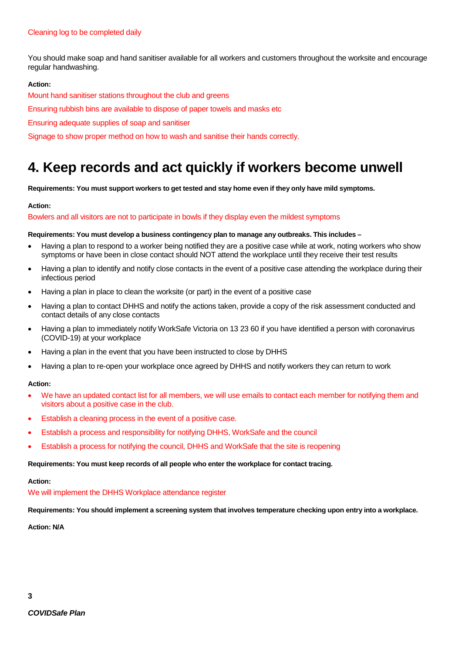You should make soap and hand sanitiser available for all workers and customers throughout the worksite and encourage regular handwashing.

#### **Action:**

Mount hand sanitiser stations throughout the club and greens

Ensuring rubbish bins are available to dispose of paper towels and masks etc

Ensuring adequate supplies of soap and sanitiser

Signage to show proper method on how to wash and sanitise their hands correctly.

### **4. Keep records and act quickly if workers become unwell**

**Requirements: You must support workers to get tested and stay home even if they only have mild symptoms.**

#### **Action:**

#### Bowlers and all visitors are not to participate in bowls if they display even the mildest symptoms

#### **Requirements: You must develop a business contingency plan to manage any outbreaks. This includes –**

- Having a plan to respond to a worker being notified they are a positive case while at work, noting workers who show symptoms or have been in close contact should NOT attend the workplace until they receive their test results
- Having a plan to identify and notify close contacts in the event of a positive case attending the workplace during their infectious period
- Having a plan in place to clean the worksite (or part) in the event of a positive case
- Having a plan to contact DHHS and notify the actions taken, provide a copy of the risk assessment conducted and contact details of any close contacts
- Having a plan to immediately notify WorkSafe Victoria on 13 23 60 if you have identified a person with coronavirus (COVID-19) at your workplace
- Having a plan in the event that you have been instructed to close by DHHS
- Having a plan to re-open your workplace once agreed by DHHS and notify workers they can return to work

#### **Action:**

- We have an updated contact list for all members, we will use emails to contact each member for notifying them and visitors about a positive case in the club.
- Establish a cleaning process in the event of a positive case.
- Establish a process and responsibility for notifying DHHS, WorkSafe and the council
- Establish a process for notifying the council, DHHS and WorkSafe that the site is reopening

#### **Requirements: You must keep records of all people who enter the workplace for contact tracing.**

#### **Action:**

#### We will implement the DHHS Workplace attendance register

**Requirements: You should implement a screening system that involves temperature checking upon entry into a workplace.**

**Action: N/A**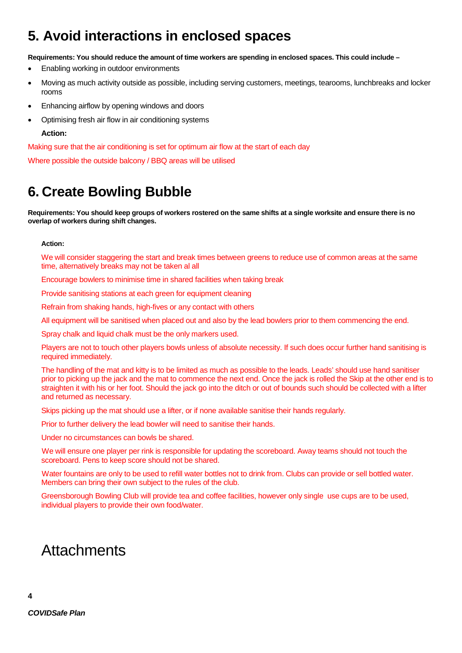### **5. Avoid interactions in enclosed spaces**

**Requirements: You should reduce the amount of time workers are spending in enclosed spaces. This could include –**

- Enabling working in outdoor environments
- Moving as much activity outside as possible, including serving customers, meetings, tearooms, lunchbreaks and locker rooms
- Enhancing airflow by opening windows and doors
- Optimising fresh air flow in air conditioning systems

#### **Action:**

Making sure that the air conditioning is set for optimum air flow at the start of each day

Where possible the outside balcony / BBQ areas will be utilised

### **6. Create Bowling Bubble**

**Requirements: You should keep groups of workers rostered on the same shifts at a single worksite and ensure there is no overlap of workers during shift changes.**

#### **Action:**

We will consider staggering the start and break times between greens to reduce use of common areas at the same time, alternatively breaks may not be taken al all

Encourage bowlers to minimise time in shared facilities when taking break

Provide sanitising stations at each green for equipment cleaning

Refrain from shaking hands, high-fives or any contact with others

All equipment will be sanitised when placed out and also by the lead bowlers prior to them commencing the end.

Spray chalk and liquid chalk must be the only markers used.

Players are not to touch other players bowls unless of absolute necessity. If such does occur further hand sanitising is required immediately.

The handling of the mat and kitty is to be limited as much as possible to the leads. Leads' should use hand sanitiser prior to picking up the jack and the mat to commence the next end. Once the jack is rolled the Skip at the other end is to straighten it with his or her foot. Should the jack go into the ditch or out of bounds such should be collected with a lifter and returned as necessary.

Skips picking up the mat should use a lifter, or if none available sanitise their hands regularly.

Prior to further delivery the lead bowler will need to sanitise their hands.

Under no circumstances can bowls be shared.

 We will ensure one player per rink is responsible for updating the scoreboard. Away teams should not touch the scoreboard. Pens to keep score should not be shared.

 Water fountains are only to be used to refill water bottles not to drink from. Clubs can provide or sell bottled water. Members can bring their own subject to the rules of the club.

Greensborough Bowling Club will provide tea and coffee facilities, however only single use cups are to be used, individual players to provide their own food/water.

### **Attachments**